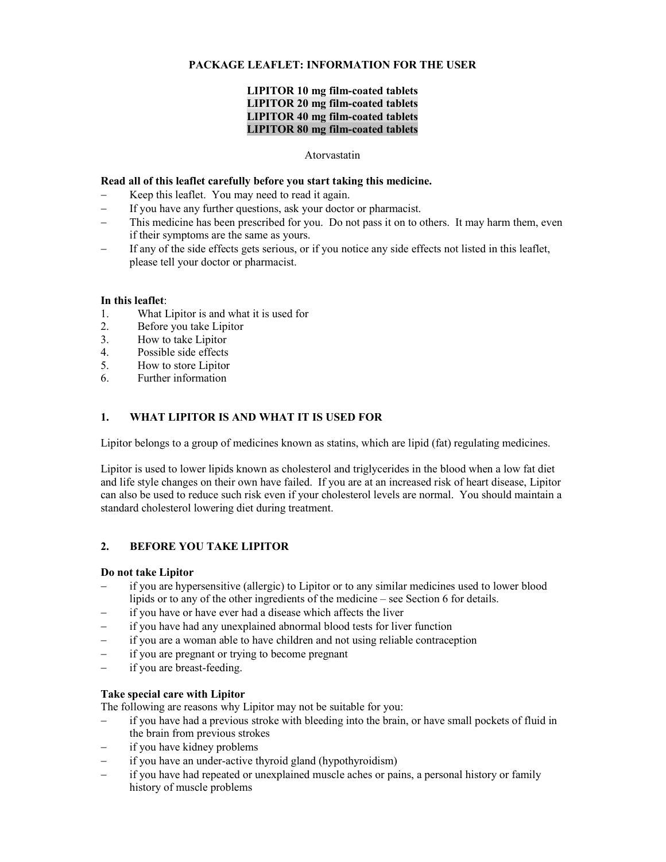### **PACKAGE LEAFLET: INFORMATION FOR THE USER**

### **LIPITOR 10 mg film-coated tablets LIPITOR 20 mg film-coated tablets LIPITOR 40 mg film-coated tablets LIPITOR 80 mg film-coated tablets**

#### Atorvastatin

#### **Read all of this leaflet carefully before you start taking this medicine.**

- Keep this leaflet. You may need to read it again.
- − If you have any further questions, ask your doctor or pharmacist.
- − This medicine has been prescribed for you. Do not pass it on to others. It may harm them, even if their symptoms are the same as yours.
- If any of the side effects gets serious, or if you notice any side effects not listed in this leaflet, please tell your doctor or pharmacist.

#### **In this leaflet**:

- 1. What Lipitor is and what it is used for
- 2. Before you take Lipitor<br>3. How to take Lipitor
- 3. How to take Lipitor
- 4. Possible side effects
- 5. How to store Lipitor
- 6. Further information

#### **1. WHAT LIPITOR IS AND WHAT IT IS USED FOR**

Lipitor belongs to a group of medicines known as statins, which are lipid (fat) regulating medicines.

Lipitor is used to lower lipids known as cholesterol and triglycerides in the blood when a low fat diet and life style changes on their own have failed. If you are at an increased risk of heart disease, Lipitor can also be used to reduce such risk even if your cholesterol levels are normal. You should maintain a standard cholesterol lowering diet during treatment.

### **2. BEFORE YOU TAKE LIPITOR**

#### **Do not take Lipitor**

- − if you are hypersensitive (allergic) to Lipitor or to any similar medicines used to lower blood lipids or to any of the other ingredients of the medicine – see Section 6 for details.
- − if you have or have ever had a disease which affects the liver
- if you have had any unexplained abnormal blood tests for liver function
- − if you are a woman able to have children and not using reliable contraception
- if you are pregnant or trying to become pregnant
- − if you are breast-feeding.

### **Take special care with Lipitor**

The following are reasons why Lipitor may not be suitable for you:

- − if you have had a previous stroke with bleeding into the brain, or have small pockets of fluid in the brain from previous strokes
- if you have kidney problems
- − if you have an under-active thyroid gland (hypothyroidism)
- − if you have had repeated or unexplained muscle aches or pains, a personal history or family history of muscle problems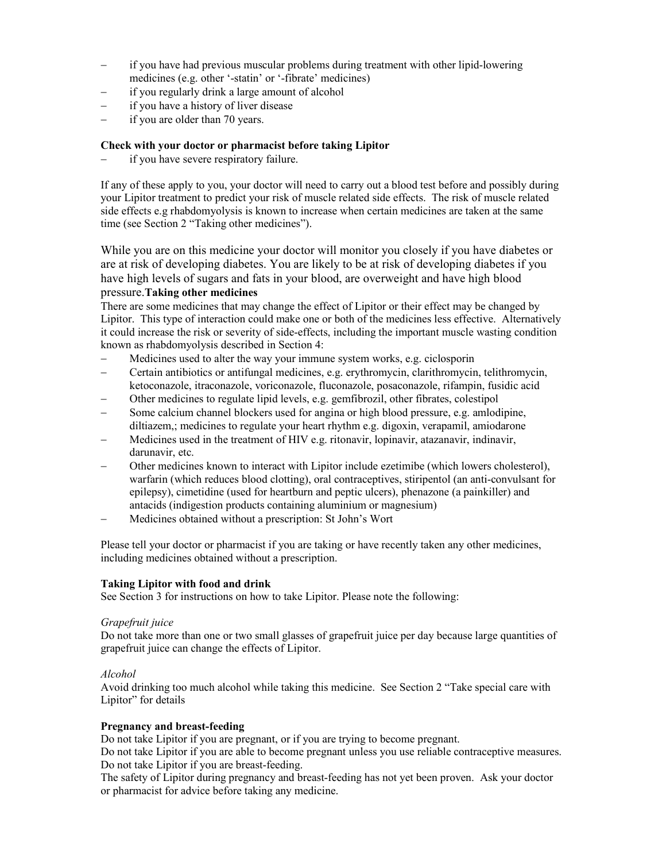- − if you have had previous muscular problems during treatment with other lipid-lowering medicines (e.g. other '-statin' or '-fibrate' medicines)
- if you regularly drink a large amount of alcohol
- − if you have a history of liver disease
- − if you are older than 70 years.

### **Check with your doctor or pharmacist before taking Lipitor**

− if you have severe respiratory failure.

If any of these apply to you, your doctor will need to carry out a blood test before and possibly during your Lipitor treatment to predict your risk of muscle related side effects. The risk of muscle related side effects e.g rhabdomyolysis is known to increase when certain medicines are taken at the same time (see Section 2 "Taking other medicines").

While you are on this medicine your doctor will monitor you closely if you have diabetes or are at risk of developing diabetes. You are likely to be at risk of developing diabetes if you have high levels of sugars and fats in your blood, are overweight and have high blood pressure.**Taking other medicines** 

There are some medicines that may change the effect of Lipitor or their effect may be changed by Lipitor. This type of interaction could make one or both of the medicines less effective. Alternatively it could increase the risk or severity of side-effects, including the important muscle wasting condition known as rhabdomyolysis described in Section 4:

- − Medicines used to alter the way your immune system works, e.g. ciclosporin
- − Certain antibiotics or antifungal medicines, e.g. erythromycin, clarithromycin, telithromycin, ketoconazole, itraconazole, voriconazole, fluconazole, posaconazole, rifampin, fusidic acid
- − Other medicines to regulate lipid levels, e.g. gemfibrozil, other fibrates, colestipol
- − Some calcium channel blockers used for angina or high blood pressure, e.g. amlodipine, diltiazem,; medicines to regulate your heart rhythm e.g. digoxin, verapamil, amiodarone
- − Medicines used in the treatment of HIV e.g. ritonavir, lopinavir, atazanavir, indinavir, darunavir, etc.
- Other medicines known to interact with Lipitor include ezetimibe (which lowers cholesterol), warfarin (which reduces blood clotting), oral contraceptives, stiripentol (an anti-convulsant for epilepsy), cimetidine (used for heartburn and peptic ulcers), phenazone (a painkiller) and antacids (indigestion products containing aluminium or magnesium)
- − Medicines obtained without a prescription: St John's Wort

Please tell your doctor or pharmacist if you are taking or have recently taken any other medicines, including medicines obtained without a prescription.

### **Taking Lipitor with food and drink**

See Section 3 for instructions on how to take Lipitor. Please note the following:

### *Grapefruit juice*

Do not take more than one or two small glasses of grapefruit juice per day because large quantities of grapefruit juice can change the effects of Lipitor.

### *Alcohol*

Avoid drinking too much alcohol while taking this medicine. See Section 2 "Take special care with Lipitor" for details

### **Pregnancy and breast-feeding**

Do not take Lipitor if you are pregnant, or if you are trying to become pregnant.

Do not take Lipitor if you are able to become pregnant unless you use reliable contraceptive measures. Do not take Lipitor if you are breast-feeding.

The safety of Lipitor during pregnancy and breast-feeding has not yet been proven. Ask your doctor or pharmacist for advice before taking any medicine.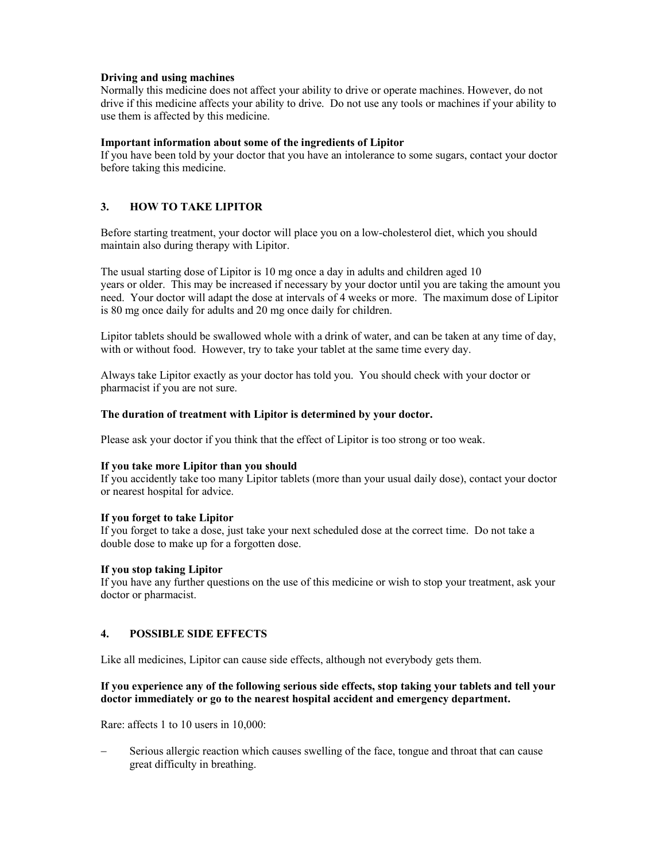### **Driving and using machines**

Normally this medicine does not affect your ability to drive or operate machines. However, do not drive if this medicine affects your ability to drive. Do not use any tools or machines if your ability to use them is affected by this medicine.

### **Important information about some of the ingredients of Lipitor**

If you have been told by your doctor that you have an intolerance to some sugars, contact your doctor before taking this medicine.

## **3. HOW TO TAKE LIPITOR**

Before starting treatment, your doctor will place you on a low-cholesterol diet, which you should maintain also during therapy with Lipitor.

The usual starting dose of Lipitor is 10 mg once a day in adults and children aged 10 years or older. This may be increased if necessary by your doctor until you are taking the amount you need. Your doctor will adapt the dose at intervals of 4 weeks or more. The maximum dose of Lipitor is 80 mg once daily for adults and 20 mg once daily for children.

Lipitor tablets should be swallowed whole with a drink of water, and can be taken at any time of day, with or without food. However, try to take your tablet at the same time every day.

Always take Lipitor exactly as your doctor has told you. You should check with your doctor or pharmacist if you are not sure.

#### **The duration of treatment with Lipitor is determined by your doctor.**

Please ask your doctor if you think that the effect of Lipitor is too strong or too weak.

### **If you take more Lipitor than you should**

If you accidently take too many Lipitor tablets (more than your usual daily dose), contact your doctor or nearest hospital for advice.

### **If you forget to take Lipitor**

If you forget to take a dose, just take your next scheduled dose at the correct time. Do not take a double dose to make up for a forgotten dose.

### **If you stop taking Lipitor**

If you have any further questions on the use of this medicine or wish to stop your treatment, ask your doctor or pharmacist.

### **4. POSSIBLE SIDE EFFECTS**

Like all medicines, Lipitor can cause side effects, although not everybody gets them.

### **If you experience any of the following serious side effects, stop taking your tablets and tell your doctor immediately or go to the nearest hospital accident and emergency department.**

Rare: affects 1 to 10 users in 10,000:

Serious allergic reaction which causes swelling of the face, tongue and throat that can cause great difficulty in breathing.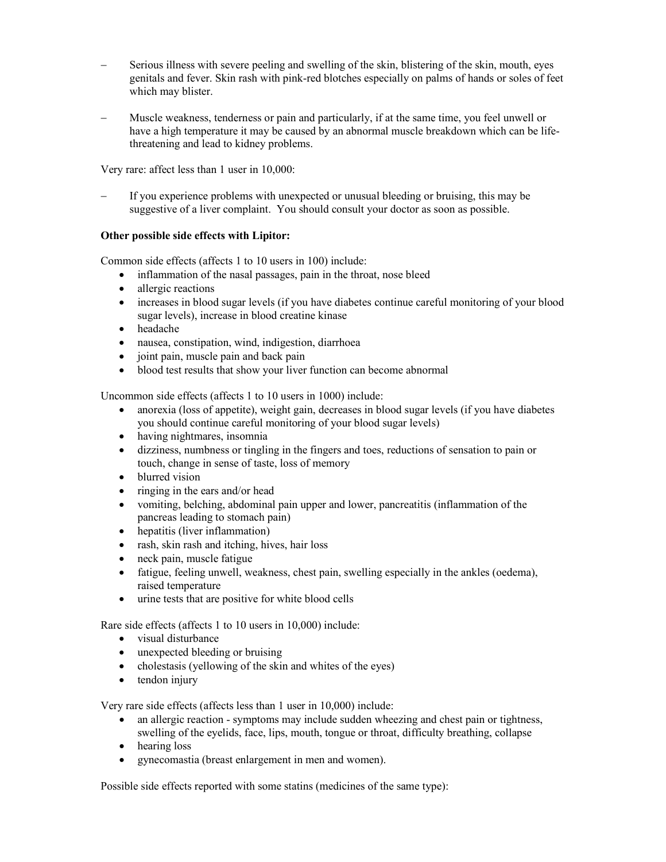- Serious illness with severe peeling and swelling of the skin, blistering of the skin, mouth, eyes genitals and fever. Skin rash with pink-red blotches especially on palms of hands or soles of feet which may blister.
- − Muscle weakness, tenderness or pain and particularly, if at the same time, you feel unwell or have a high temperature it may be caused by an abnormal muscle breakdown which can be lifethreatening and lead to kidney problems.

Very rare: affect less than 1 user in 10,000:

If you experience problems with unexpected or unusual bleeding or bruising, this may be suggestive of a liver complaint. You should consult your doctor as soon as possible.

### **Other possible side effects with Lipitor:**

Common side effects (affects 1 to 10 users in 100) include:

- inflammation of the nasal passages, pain in the throat, nose bleed
- allergic reactions
- increases in blood sugar levels (if you have diabetes continue careful monitoring of your blood sugar levels), increase in blood creatine kinase
- headache
- nausea, constipation, wind, indigestion, diarrhoea
- joint pain, muscle pain and back pain
- blood test results that show your liver function can become abnormal

Uncommon side effects (affects 1 to 10 users in 1000) include:

- anorexia (loss of appetite), weight gain, decreases in blood sugar levels (if you have diabetes you should continue careful monitoring of your blood sugar levels)
- having nightmares, insomnia
- dizziness, numbness or tingling in the fingers and toes, reductions of sensation to pain or touch, change in sense of taste, loss of memory
- blurred vision
- ringing in the ears and/or head
- vomiting, belching, abdominal pain upper and lower, pancreatitis (inflammation of the pancreas leading to stomach pain)
- hepatitis (liver inflammation)
- rash, skin rash and itching, hives, hair loss
- neck pain, muscle fatigue
- fatigue, feeling unwell, weakness, chest pain, swelling especially in the ankles (oedema), raised temperature
- urine tests that are positive for white blood cells

Rare side effects (affects 1 to 10 users in 10,000) include:

- visual disturbance
- unexpected bleeding or bruising
- cholestasis (yellowing of the skin and whites of the eyes)
- tendon injury

Very rare side effects (affects less than 1 user in 10,000) include:

- an allergic reaction symptoms may include sudden wheezing and chest pain or tightness, swelling of the eyelids, face, lips, mouth, tongue or throat, difficulty breathing, collapse
- hearing loss
- gynecomastia (breast enlargement in men and women).

Possible side effects reported with some statins (medicines of the same type):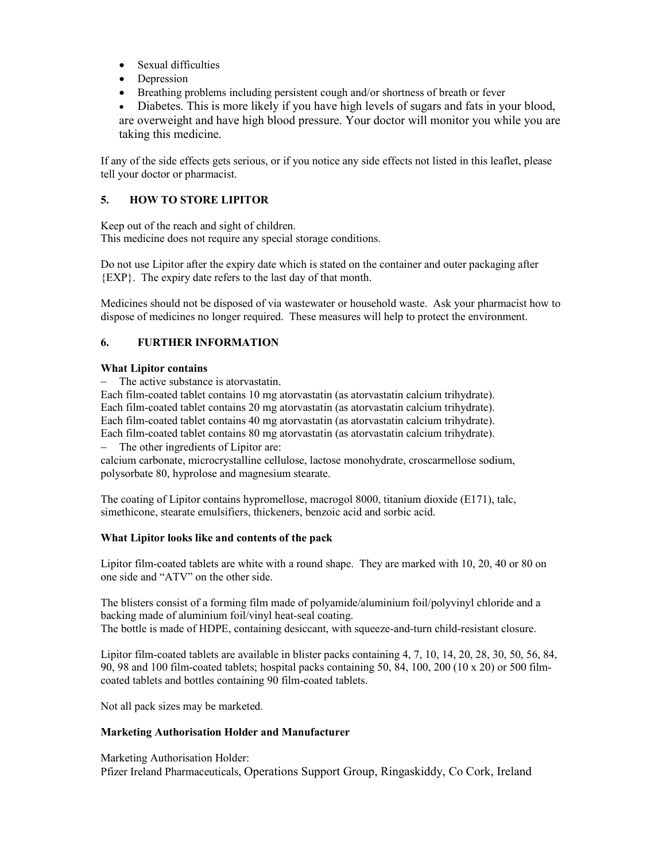- Sexual difficulties
- Depression
- Breathing problems including persistent cough and/or shortness of breath or fever
- Diabetes. This is more likely if you have high levels of sugars and fats in your blood, are overweight and have high blood pressure. Your doctor will monitor you while you are taking this medicine.

If any of the side effects gets serious, or if you notice any side effects not listed in this leaflet, please tell your doctor or pharmacist.

# **5. HOW TO STORE LIPITOR**

Keep out of the reach and sight of children. This medicine does not require any special storage conditions.

Do not use Lipitor after the expiry date which is stated on the container and outer packaging after {EXP}. The expiry date refers to the last day of that month.

Medicines should not be disposed of via wastewater or household waste. Ask your pharmacist how to dispose of medicines no longer required. These measures will help to protect the environment.

# **6. FURTHER INFORMATION**

## **What Lipitor contains**

− The active substance is atorvastatin.

Each film-coated tablet contains 10 mg atorvastatin (as atorvastatin calcium trihydrate).

Each film-coated tablet contains 20 mg atorvastatin (as atorvastatin calcium trihydrate).

Each film-coated tablet contains 40 mg atorvastatin (as atorvastatin calcium trihydrate).

Each film-coated tablet contains 80 mg atorvastatin (as atorvastatin calcium trihydrate). − The other ingredients of Lipitor are:

calcium carbonate, microcrystalline cellulose, lactose monohydrate, croscarmellose sodium, polysorbate 80, hyprolose and magnesium stearate.

The coating of Lipitor contains hypromellose, macrogol 8000, titanium dioxide (E171), talc, simethicone, stearate emulsifiers, thickeners, benzoic acid and sorbic acid.

## **What Lipitor looks like and contents of the pack**

Lipitor film-coated tablets are white with a round shape. They are marked with 10, 20, 40 or 80 on one side and "ATV" on the other side.

The blisters consist of a forming film made of polyamide/aluminium foil/polyvinyl chloride and a backing made of aluminium foil/vinyl heat-seal coating. The bottle is made of HDPE, containing desiccant, with squeeze-and-turn child-resistant closure.

Lipitor film-coated tablets are available in blister packs containing 4, 7, 10, 14, 20, 28, 30, 50, 56, 84, 90, 98 and 100 film-coated tablets; hospital packs containing 50, 84, 100, 200 (10 x 20) or 500 filmcoated tablets and bottles containing 90 film-coated tablets.

Not all pack sizes may be marketed.

## **Marketing Authorisation Holder and Manufacturer**

Marketing Authorisation Holder:

Pfizer Ireland Pharmaceuticals, Operations Support Group, Ringaskiddy, Co Cork, Ireland